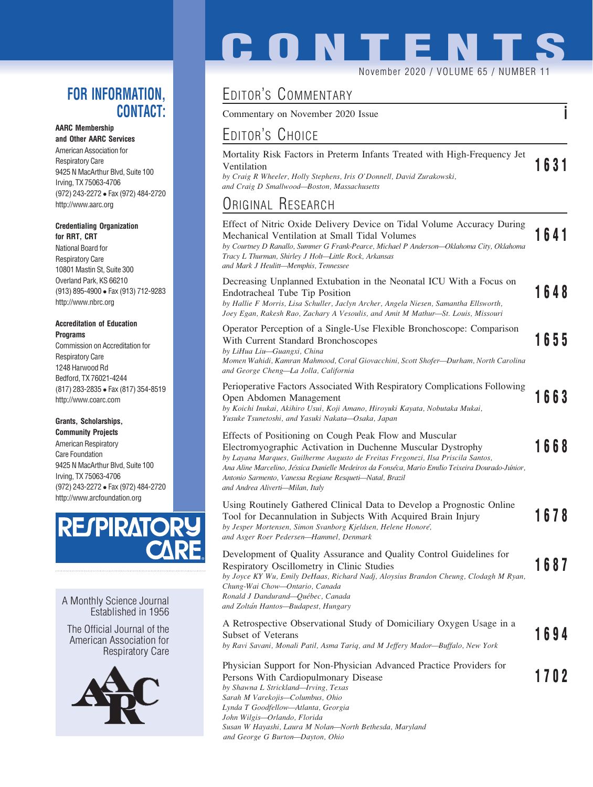### FOR INFORMATION, CONTACT:

#### AARC Membership

and Other AARC Services American Association for Respiratory Care 9425 N MacArthur Blvd, Suite 100 Irving, TX 75063-4706 (972) 243-2272 Fax (972) 484-2720 http://www.aarc.org

#### Credentialing Organization for RRT, CRT

National Board for Respiratory Care 10801 Mastin St, Suite 300 Overland Park, KS 66210 (913) 895-4900 Fax (913) 712-9283 http://www.nbrc.org

#### Accreditation of Education **Programs**

Commission on Accreditation for Respiratory Care 1248 Harwood Rd Bedford, TX 76021-4244 (817) 283-2835 Fax (817) 354-8519 http://www.coarc.com

#### Grants, Scholarships, Community Projects

American Respiratory Care Foundation 9425 N MacArthur Blvd, Suite 100 Irving, TX 75063-4706 (972) 243-2272 Fax (972) 484-2720 http://www.arcfoundation.org



A Monthly Science Journal Established in 1956

The Official Journal of the American Association for Respiratory Care



# **CONTENT** November 2020 / VOLUME 65 / NUMBER 11

## EDITOR'S COMMENTARY

Commentary on November 2020 Issue i

### EDITOR'S CHOICE

| Mortality Risk Factors in Preterm Infants Treated with High-Frequency Jet |      |
|---------------------------------------------------------------------------|------|
| Ventilation                                                               | 1631 |
| by Craig R Wheeler, Holly Stephens, Iris O'Donnell, David Zurakowski,     |      |
| and Craig D Smallwood—Boston, Massachusetts                               |      |

### ORIGINAL RESEARCH

| Effect of Nitric Oxide Delivery Device on Tidal Volume Accuracy During<br>Mechanical Ventilation at Small Tidal Volumes<br>by Courtney D Ranallo, Summer G Frank-Pearce, Michael P Anderson-Oklahoma City, Oklahoma<br>Tracy L Thurman, Shirley J Holt-Little Rock, Arkansas<br>and Mark J Heulitt-Memphis, Tennessee                                                                                         | 1641 |
|---------------------------------------------------------------------------------------------------------------------------------------------------------------------------------------------------------------------------------------------------------------------------------------------------------------------------------------------------------------------------------------------------------------|------|
| Decreasing Unplanned Extubation in the Neonatal ICU With a Focus on<br>Endotracheal Tube Tip Position<br>by Hallie F Morris, Lisa Schuller, Jaclyn Archer, Angela Niesen, Samantha Ellsworth,<br>Joey Egan, Rakesh Rao, Zachary A Vesoulis, and Amit M Mathur-St. Louis, Missouri                                                                                                                             | 1648 |
| Operator Perception of a Single-Use Flexible Bronchoscope: Comparison<br>With Current Standard Bronchoscopes<br>by LiHua Liu-Guangxi, China<br>Momen Wahidi, Kamran Mahmood, Coral Giovacchini, Scott Shofer—Durham, North Carolina<br>and George Cheng-La Jolla, California                                                                                                                                  | 1655 |
| Perioperative Factors Associated With Respiratory Complications Following<br>Open Abdomen Management<br>by Koichi Inukai, Akihiro Usui, Koji Amano, Hiroyuki Kayata, Nobutaka Mukai,<br>Yusuke Tsunetoshi, and Yasuki Nakata-Osaka, Japan                                                                                                                                                                     | 1663 |
| Effects of Positioning on Cough Peak Flow and Muscular<br>Electromyographic Activation in Duchenne Muscular Dystrophy<br>by Layana Marques, Guilherme Augusto de Freitas Fregonezi, Ilsa Priscila Santos,<br>Ana Aline Marcelino, Jéssica Danielle Medeiros da Fonséca, Mario Emílio Teixeira Dourado-Júnior,<br>Antonio Sarmento, Vanessa Regiane Resqueti-Natal, Brazil<br>and Andrea Aliverti-Milan, Italy | 1668 |
| Using Routinely Gathered Clinical Data to Develop a Prognostic Online<br>Tool for Decannulation in Subjects With Acquired Brain Injury<br>by Jesper Mortensen, Simon Svanborg Kjeldsen, Helene Honoré,<br>and Asger Roer Pedersen-Hammel, Denmark                                                                                                                                                             | 1678 |
| Development of Quality Assurance and Quality Control Guidelines for<br>Respiratory Oscillometry in Clinic Studies<br>by Joyce KY Wu, Emily DeHaas, Richard Nadj, Aloysius Brandon Cheung, Clodagh M Ryan,<br>Chung-Wai Chow-Ontario, Canada<br>Ronald J Dandurand-Québec, Canada<br>and Zoltán Hantos-Budapest, Hungary                                                                                       | 1687 |
| A Retrospective Observational Study of Domiciliary Oxygen Usage in a<br>Subset of Veterans<br>by Ravi Savani, Monali Patil, Asma Tariq, and M Jeffery Mador-Buffalo, New York                                                                                                                                                                                                                                 | 1694 |
| Physician Support for Non-Physician Advanced Practice Providers for<br>Persons With Cardiopulmonary Disease<br>by Shawna L Strickland-Irving, Texas<br>Sarah M Varekojis-Columbus, Ohio<br>Lynda T Goodfellow-Atlanta, Georgia<br>John Wilgis-Orlando, Florida                                                                                                                                                | 1702 |

Susan W Hayashi, Laura M Nolan—North Bethesda, Maryland

and George G Burton—Dayton, Ohio